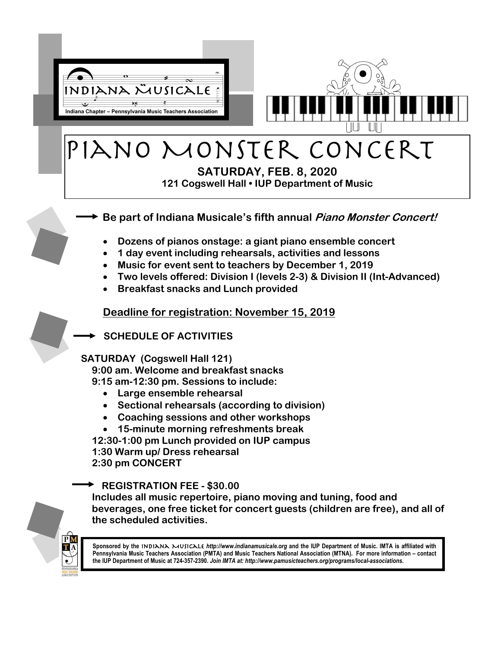

## Piano Monster Concert

**SATURDAY, FEB. 8, 2020 121 Cogswell Hall • IUP Department of Music**

## **Be part of Indiana Musicale's fifth annual Piano Monster Concert!**

- **Dozens of pianos onstage: a giant piano ensemble concert**
- **1 day event including rehearsals, activities and lessons**
- **Music for event sent to teachers by December 1, 2019**
- **Two levels offered: Division I (levels 2-3) & Division II (Int-Advanced)**
- **Breakfast snacks and Lunch provided**

## **Deadline for registration: November 15, 2019**

**SCHEDULE OF ACTIVITIES**

## **SATURDAY (Cogswell Hall 121)**

**9:00 am. Welcome and breakfast snacks 9:15 am-12:30 pm. Sessions to include:**

- **Large ensemble rehearsal**
- **Sectional rehearsals (according to division)**
- **Coaching sessions and other workshops**
- **15-minute morning refreshments break**

**12:30-1:00 pm Lunch provided on IUP campus 1:30 Warm up/ Dress rehearsal 2:30 pm CONCERT** 

**REGISTRATION FEE - \$30.00**

**Includes all music repertoire, piano moving and tuning, food and beverages, one free ticket for concert guests (children are free), and all of the scheduled activities.**



**Sponsored by the** Indiana Musicale *http://www.indianamusicale.org* **and the IUP Department of Music. IMTA is affiliated with Pennsylvania Music Teachers Association (PMTA) and Music Teachers National Association (MTNA). For more information – contact the IUP Department of Music at 724-357-2390.** *Join IMTA at: http://www.pamusicteachers.org/programs/local-associations.*